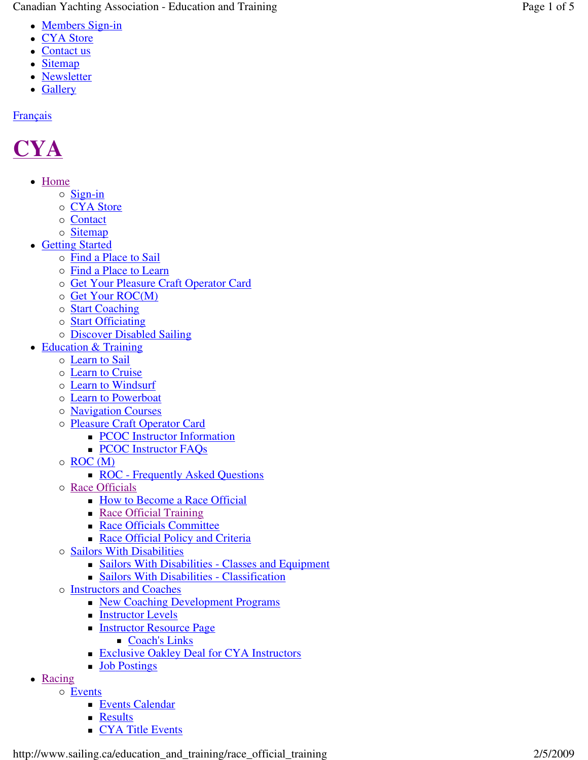Canadian Yachting Association - Education and Training Page Page

- Members Sign-in
- CYA Store
- Contact us
- Sitemap
- Newsletter
- Gallery

#### **Français**

# **CYA**

- Home
	- o Sign-in
	- o CYA Store
	- o Contact
	- o Sitemap
- Getting Started
	- o Find a Place to Sail
	- o Find a Place to Learn
	- o Get Your Pleasure Craft Operator Card
	- o Get Your ROC(M)
	- o **Start Coaching**
	- o **Start Officiating**
	- o **Discover Disabled Sailing**
- Education & Training
	- o **Learn to Sail** 
		- o **Learn to Cruise**
		- o Learn to Windsurf
		- o **Learn to Powerboat**
		- o **Navigation Courses**
		- o Pleasure Craft Operator Card
			- **PCOC** Instructor Information
			- **PCOC Instructor FAQs**
		- o ROC (M)
			- ROC Frequently Asked Questions
		- o Race Officials
			- **How to Become a Race Official**
			- Race Official Training
			- **Race Officials Committee**
			- Race Official Policy and Criteria
		- o Sailors With Disabilities
			- Sailors With Disabilities Classes and Equipment
			- Sailors With Disabilities Classification
		- o **Instructors and Coaches** 
			- New Coaching Development Programs
			- **Instructor Levels**
			- **Instructor Resource Page** 
				- Coach's Links
			- **Exclusive Oakley Deal for CYA Instructors**
			- **Job Postings**
- Racing
	- o Events
		- **Events Calendar**
		- **Results**
		- **CYA Title Events**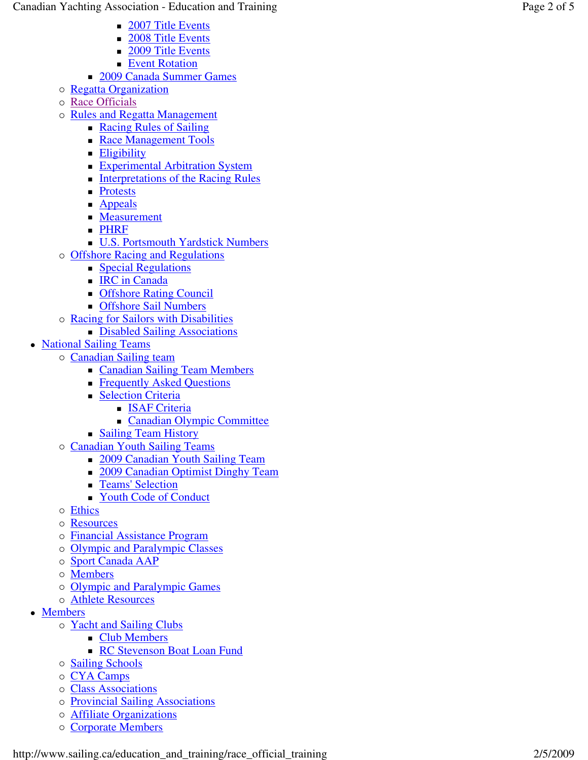- 2007 Title Events
- 2008 Title Events
- 2009 Title Events
- **Event Rotation**
- **2009 Canada Summer Games**
- o Regatta Organization
- o Race Officials
- o Rules and Regatta Management
	- Racing Rules of Sailing
	- Race Management Tools
	- **Eligibility**
	- **Experimental Arbitration System**
	- **Interpretations of the Racing Rules**
	- **Protests**
	- **Appeals**
	- **Measurement**
	- **PHRF**
	- U.S. Portsmouth Yardstick Numbers
- o Offshore Racing and Regulations
	- **Special Regulations**
	- **IRC** in Canada
	- **COLLEGE** Council
	- **Configure Sail Numbers**
- o Racing for Sailors with Disabilities
	- Disabled Sailing Associations
- National Sailing Teams
	- o Canadian Sailing team
		- **Canadian Sailing Team Members**
		- **Figure 4** Frequently Asked Questions
		- **Selection Criteria** 
			- **ISAF Criteria**
			- Canadian Olympic Committee
		- **Sailing Team History**
	- o Canadian Youth Sailing Teams
		- 2009 Canadian Youth Sailing Team
		- 2009 Canadian Optimist Dinghy Team
		- **Teams' Selection**
		- Youth Code of Conduct
	- o Ethics
	- o Resources
	- o Financial Assistance Program
	- o Olympic and Paralympic Classes
	- o Sport Canada AAP
	- o **Members**
	- o Olympic and Paralympic Games
	- o **Athlete Resources**
- Members
	- o Yacht and Sailing Clubs
		- **Club Members**
		- **RC Stevenson Boat Loan Fund**
	- o **Sailing Schools**
	- o CYA Camps
	- o Class Associations
	- o Provincial Sailing Associations
	- o **Affiliate Organizations**
	- o Corporate Members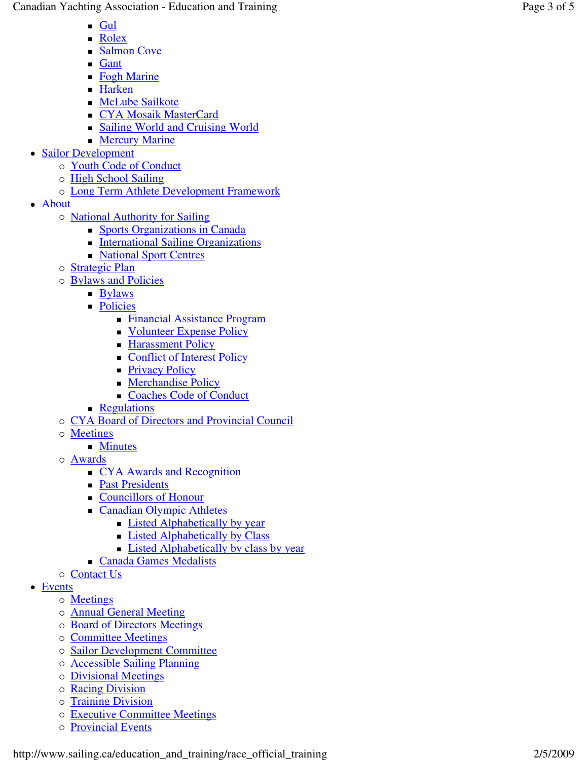Canadian Yachting Association - Education and Training Page Page

- $\blacksquare$  Gul
- Rolex
- Salmon Cove
- **Gant**
- Fogh Marine
- Harken
- **McLube Sailkote**
- CYA Mosaik MasterCard
- Sailing World and Cruising World **Mercury Marine**
- Sailor Development
	- o Youth Code of Conduct
	- o High School Sailing
	- o Long Term Athlete Development Framework
- About
	- o **National Authority for Sailing** 
		- Sports Organizations in Canada
		- **International Sailing Organizations**
		- **National Sport Centres**
	- o **Strategic Plan**
	- o **Bylaws and Policies** 
		- **Bylaws**
		- **Policies** 
			- Financial Assistance Program
			- Volunteer Expense Policy
			- **Harassment Policy**
			- Conflict of Interest Policy
			- **Privacy Policy**
			- **Merchandise Policy**
			- Coaches Code of Conduct
		- **Regulations**
	- o CYA Board of Directors and Provincial Council
	- o Meetings
		- **Minutes**
	- o Awards
		- CYA Awards and Recognition
		- **Past Presidents**
		- Councillors of Honour
		- **Canadian Olympic Athletes** 
			- **Listed Alphabetically by year**
			- **Example 1** Listed Alphabetically by Class
			- **Listed Alphabetically by class by year**
		- Canada Games Medalists
	- o Contact Us
- Events
	- o **Meetings**
	- o **Annual General Meeting**
	- o Board of Directors Meetings
	- o **Committee Meetings**
	- o Sailor Development Committee
	- o **Accessible Sailing Planning**
	- o Divisional Meetings
	- o Racing Division
	- o Training Division
	- o Executive Committee Meetings
	- o Provincial Events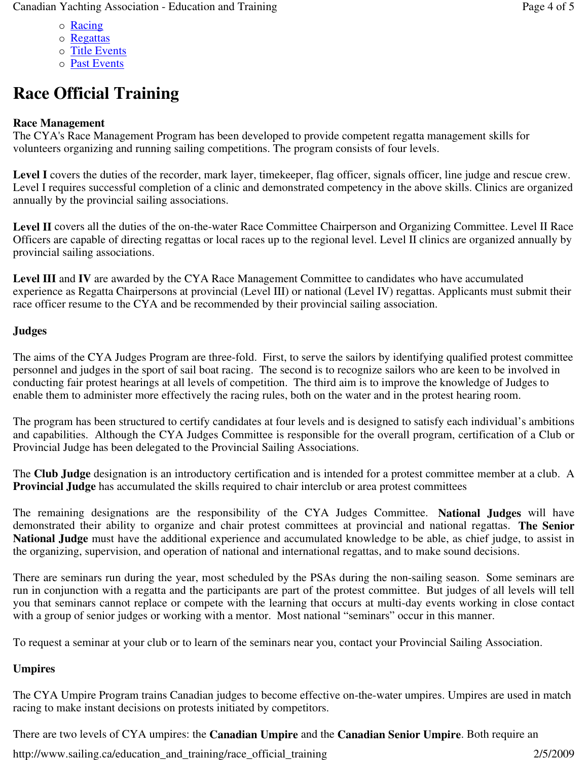- o Racing
- o Regattas
- o Title Events
- o **Past Events**

# **Race Official Training**

## **Race Management**

The CYA's Race Management Program has been developed to provide competent regatta management skills for volunteers organizing and running sailing competitions. The program consists of four levels.

Level I covers the duties of the recorder, mark layer, timekeeper, flag officer, signals officer, line judge and rescue crew. Level I requires successful completion of a clinic and demonstrated competency in the above skills. Clinics are organized annually by the provincial sailing associations.

Level II covers all the duties of the on-the-water Race Committee Chairperson and Organizing Committee. Level II Race Officers are capable of directing regattas or local races up to the regional level. Level II clinics are organized annually by provincial sailing associations.

**Level III** and **IV** are awarded by the CYA Race Management Committee to candidates who have accumulated experience as Regatta Chairpersons at provincial (Level III) or national (Level IV) regattas. Applicants must submit their race officer resume to the CYA and be recommended by their provincial sailing association.

### **Judges**

The aims of the CYA Judges Program are three-fold. First, to serve the sailors by identifying qualified protest committee personnel and judges in the sport of sail boat racing. The second is to recognize sailors who are keen to be involved in conducting fair protest hearings at all levels of competition. The third aim is to improve the knowledge of Judges to enable them to administer more effectively the racing rules, both on the water and in the protest hearing room.

The program has been structured to certify candidates at four levels and is designed to satisfy each individual's ambitions and capabilities. Although the CYA Judges Committee is responsible for the overall program, certification of a Club or Provincial Judge has been delegated to the Provincial Sailing Associations.

The **Club Judge** designation is an introductory certification and is intended for a protest committee member at a club. A **Provincial Judge** has accumulated the skills required to chair interclub or area protest committees

The remaining designations are the responsibility of the CYA Judges Committee. **National Judges** will have demonstrated their ability to organize and chair protest committees at provincial and national regattas. **The Senior National Judge** must have the additional experience and accumulated knowledge to be able, as chief judge, to assist in the organizing, supervision, and operation of national and international regattas, and to make sound decisions.

There are seminars run during the year, most scheduled by the PSAs during the non-sailing season. Some seminars are run in conjunction with a regatta and the participants are part of the protest committee. But judges of all levels will tell you that seminars cannot replace or compete with the learning that occurs at multi-day events working in close contact with a group of senior judges or working with a mentor. Most national "seminars" occur in this manner.

To request a seminar at your club or to learn of the seminars near you, contact your Provincial Sailing Association.

### **Umpires**

The CYA Umpire Program trains Canadian judges to become effective on-the-water umpires. Umpires are used in match racing to make instant decisions on protests initiated by competitors.

There are two levels of CYA umpires: the **Canadian Umpire** and the **Canadian Senior Umpire**. Both require an